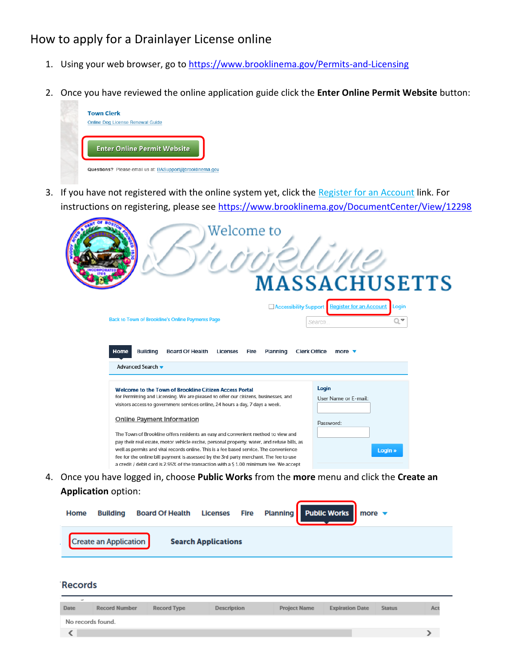# How to apply for a Drainlayer License online

- 1. Using your web browser, go to <https://www.brooklinema.gov/Permits-and-Licensing>
- 2. Once you have reviewed the online application guide click the **Enter Online Permit Website** button:



3. If you have not registered with the online system yet, click the Register for an Account link. For instructions on registering, please see<https://www.brooklinema.gov/DocumentCenter/View/12298>

| Welcome to                                                                                                                                                                                                                                                                                                                                                                                                                                                   | <b>MASSACHUSETTS</b><br><b>Register for an Account</b><br><b>Accessibility Support</b><br>Login |
|--------------------------------------------------------------------------------------------------------------------------------------------------------------------------------------------------------------------------------------------------------------------------------------------------------------------------------------------------------------------------------------------------------------------------------------------------------------|-------------------------------------------------------------------------------------------------|
| Back to Town of Brookline's Online Payments Page                                                                                                                                                                                                                                                                                                                                                                                                             | Q▼<br>Search                                                                                    |
| <b>Home</b><br><b>Building</b><br><b>Board Of Health</b><br><b>Licenses</b><br>Planning<br>Fire<br>Advanced Search v                                                                                                                                                                                                                                                                                                                                         | <b>Clerk Office</b><br>more $\blacktriangledown$                                                |
| Welcome to the Town of Brookline Citizen Access Portal<br>for Permitting and Licensing. We are pleased to offer our citizens, businesses, and<br>visitors access to government services online, 24 hours a day, 7 days a week.                                                                                                                                                                                                                               | Login<br>User Name or E-mail:                                                                   |
| <b>Online Payment Information</b>                                                                                                                                                                                                                                                                                                                                                                                                                            | Password:                                                                                       |
| The Town of Brookline offers residents an easy and convenient method to view and<br>pay their real estate, motor vehicle excise, personal property, water, and refuse bills, as<br>well as permits and vital records online. This is a fee based service. The convenience<br>fee for the online bill payment is assessed by the 3rd party merchant. The fee to use<br>a credit / debit card is 2.95% of the transaction with a \$1.00 minimum fee. We accept | Login »                                                                                         |

4. Once you have logged in, choose **Public Works** from the **more** menu and click the **Create an Application** option:

| Home | <b>Building</b>              | Board Of Health Licenses Fire Planning Public Works more v |                            |  |  |  |
|------|------------------------------|------------------------------------------------------------|----------------------------|--|--|--|
|      | <b>Create an Application</b> |                                                            | <b>Search Applications</b> |  |  |  |
|      |                              |                                                            |                            |  |  |  |

#### **Records**

| $\sim$            |                      |                    |             |                     |                        |               |    |
|-------------------|----------------------|--------------------|-------------|---------------------|------------------------|---------------|----|
| Date              | <b>Record Number</b> | <b>Record Type</b> | Description | <b>Project Name</b> | <b>Expiration Date</b> | <b>Status</b> | Ac |
| No records found. |                      |                    |             |                     |                        |               |    |
|                   |                      |                    |             |                     |                        |               |    |
|                   |                      |                    |             |                     |                        |               |    |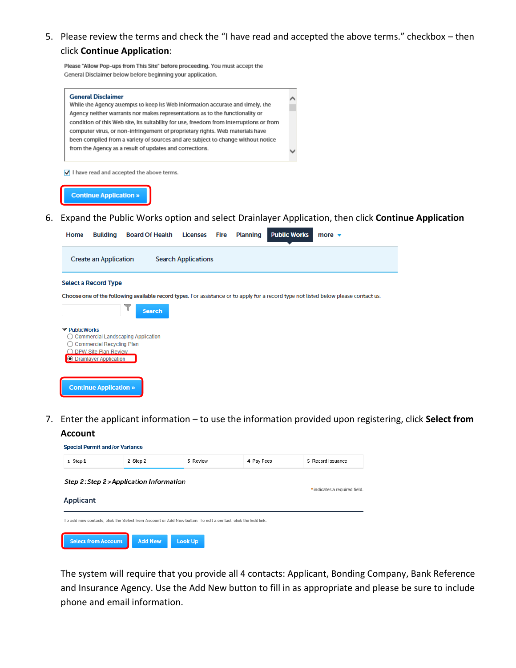5. Please review the terms and check the "I have read and accepted the above terms." checkbox – then click **Continue Application**:

Please "Allow Pop-ups from This Site" before proceeding. You must accept the General Disclaimer below before beginning your application.

**O** Drainlayer Application



## **Create an Application Search Applications Select a Record Type** Choose one of the following available record types. For assistance or to apply for a record type not listed below please contact us. **Search** ▼ PublicWorks ◯ Commercial Landscaping Application ◯ Commercial Recycling Plan O DPW Site Plan Review

- **Continue Application »**
- 7. Enter the applicant information to use the information provided upon registering, click **Select from Account**



The system will require that you provide all 4 contacts: Applicant, Bonding Company, Bank Reference and Insurance Agency. Use the Add New button to fill in as appropriate and please be sure to include phone and email information.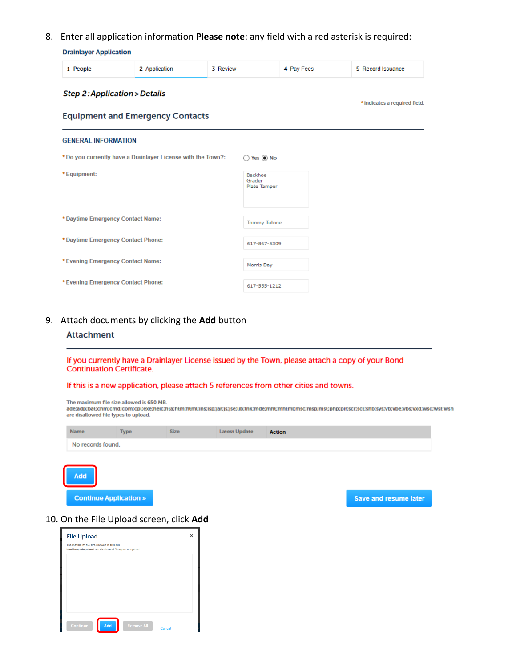8. Enter all application information Please note: any field with a red asterisk is required:

4 Pay Fees

5 Record Issuance

\* indicates a required field.

| <b>Drainlayer Application</b>           |                                         |          |  |  |  |  |  |
|-----------------------------------------|-----------------------------------------|----------|--|--|--|--|--|
| People                                  | 2 Application                           | 3 Review |  |  |  |  |  |
| <b>Step 2: Application &gt; Details</b> |                                         |          |  |  |  |  |  |
|                                         | <b>Equipment and Emergency Contacts</b> |          |  |  |  |  |  |

| <b>GENERAL INFORMATION</b>                                  |                                   |
|-------------------------------------------------------------|-----------------------------------|
| *Do you currently have a Drainlayer License with the Town?: | Yes <sup>O</sup> No               |
| *Equipment:                                                 | Backhoe<br>Grader<br>Plate Tamper |
| *Daytime Emergency Contact Name:                            | <b>Tommy Tutone</b>               |
| *Daytime Emergency Contact Phone:                           | 617-867-5309                      |
| *Evening Emergency Contact Name:                            | Morris Day                        |
| *Evening Emergency Contact Phone:                           | 617-555-1212                      |

## 9. Attach documents by clicking the Add button

#### **Attachment**

If you currently have a Drainlayer License issued by the Town, please attach a copy of your Bond **Continuation Certificate.** 

#### If this is a new application, please attach 5 references from other cities and towns.

The maximum file size allowed is 650 MB.

ade;adp;bat;chm;cmd;com;cpl;exe;heic;hta;htm;html;ins;isp;jar;js;jse;lib;lnk;mde;mht;mhtml;msc;msp;mst;php;pif;scr;sct;shb;sys;vb;vbe;vbs;vxd;wsc;wsf;wsh<br>are disallowed file types to upload.

| <b>Name</b>       | <b>Type</b> | <b>Size</b> | <b>Latest Update</b> | <b>Action</b> |
|-------------------|-------------|-------------|----------------------|---------------|
| No records found. |             |             |                      |               |
|                   |             |             |                      |               |

**Continue Application »** 

Add

Save and resume later

#### 10. On the File Upload screen, click Add

| <b>File Upload</b>                                                                                  |  |  |  |  |  |
|-----------------------------------------------------------------------------------------------------|--|--|--|--|--|
| The maximum file size allowed is 100 MB.<br>html;htm;mht;mhtml are disallowed file types to upload. |  |  |  |  |  |
|                                                                                                     |  |  |  |  |  |
|                                                                                                     |  |  |  |  |  |
|                                                                                                     |  |  |  |  |  |
|                                                                                                     |  |  |  |  |  |
|                                                                                                     |  |  |  |  |  |
| Add<br>Continue<br><b>Remove All</b><br>Cancel                                                      |  |  |  |  |  |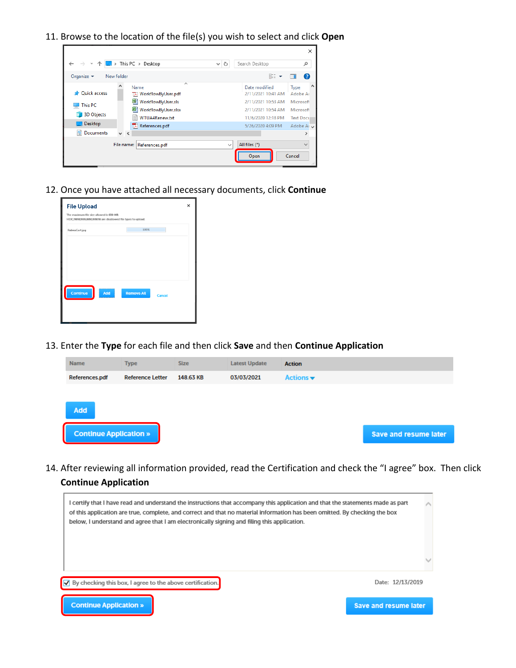11. Browse to the location of the file(s) you wish to select and click **Open**

|                                                                                         |            |                                                                                                                            |                   |                       |                                                                                                                            | ×                                                                                                        |
|-----------------------------------------------------------------------------------------|------------|----------------------------------------------------------------------------------------------------------------------------|-------------------|-----------------------|----------------------------------------------------------------------------------------------------------------------------|----------------------------------------------------------------------------------------------------------|
|                                                                                         |            | ▽ 个 ■ > This PC > Desktop                                                                                                  | Ō<br>$\checkmark$ | Search Desktop        |                                                                                                                            | ۹                                                                                                        |
| Organize $\blacktriangledown$                                                           | New folder |                                                                                                                            |                   |                       | <b>BEE</b>                                                                                                                 | Ω                                                                                                        |
| <b>Duick access</b><br><b>This PC</b><br><b>3D Objects</b><br>Desktop<br>自<br>Documents | $\vee$ <   | ́<br>Name<br>TA WorkflowByUser.pdf<br>짴<br>WorkflowByUser.xls<br>图 WorkflowByUser.xlsx<br>WTUA4Renew.txt<br>References.pdf |                   |                       | Date modified<br>2/11/2021 10:41 AM<br>2/11/2021 10:53 AM<br>2/11/2021 10:54 AM<br>11/6/2020 12:18 PM<br>5/26/2020 4:09 PM | $\wedge$<br>Type<br>Adobe Ac<br>Microsoft<br>Microsoft<br><b>Text Docu</b><br>Adobe Acv<br>$\rightarrow$ |
|                                                                                         | File name: | References.pdf                                                                                                             | $\checkmark$      | All files (*)<br>Open |                                                                                                                            | $\checkmark$<br>Cancel<br>лĭ.                                                                            |

12. Once you have attached all necessary documents, click **Continue**

| <b>File Upload</b>                                                                                       |                                    | $\times$ |
|----------------------------------------------------------------------------------------------------------|------------------------------------|----------|
| The maximum file size allowed is 650 MB.<br>HEIC;html;htm;mht;mhtml are disallowed file types to upload. |                                    |          |
| RabiesCert.jpg                                                                                           | 100%                               |          |
|                                                                                                          |                                    |          |
|                                                                                                          |                                    |          |
|                                                                                                          |                                    |          |
|                                                                                                          |                                    |          |
| Continue<br>Add                                                                                          | <b>Remove All</b><br><b>Cancel</b> |          |
|                                                                                                          |                                    |          |
|                                                                                                          |                                    |          |

13. Enter the **Type** for each file and then click **Save** and then **Continue Application**

| <b>Name</b>                   | <b>Type</b>             | <b>Size</b> | <b>Latest Update</b> | <b>Action</b>                |                       |
|-------------------------------|-------------------------|-------------|----------------------|------------------------------|-----------------------|
| References.pdf                | <b>Reference Letter</b> | 148.63 KB   | 03/03/2021           | Actions $\blacktriangledown$ |                       |
|                               |                         |             |                      |                              |                       |
| <b>Add</b>                    |                         |             |                      |                              |                       |
| <b>Continue Application »</b> |                         |             |                      |                              | Save and resume later |

14. After reviewing all information provided, read the Certification and check the "I agree" box. Then click **Continue Application**

| I certify that I have read and understand the instructions that accompany this application and that the statements made as part<br>of this application are true, complete, and correct and that no material information has been omitted. By checking the box<br>below, I understand and agree that I am electronically signing and filing this application. |                       |
|--------------------------------------------------------------------------------------------------------------------------------------------------------------------------------------------------------------------------------------------------------------------------------------------------------------------------------------------------------------|-----------------------|
|                                                                                                                                                                                                                                                                                                                                                              |                       |
| By checking this box, I agree to the above certification.                                                                                                                                                                                                                                                                                                    | Date: 12/13/2019      |
| <b>Continue Application »</b>                                                                                                                                                                                                                                                                                                                                | Save and resume later |